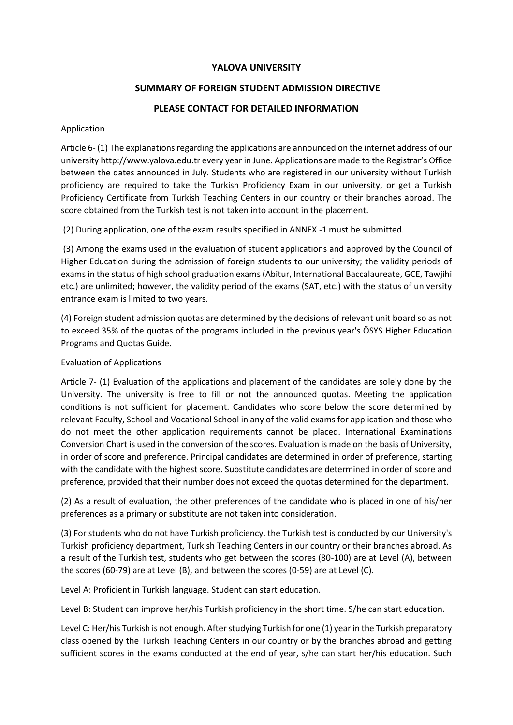#### **YALOVA UNIVERSITY**

### **SUMMARY OF FOREIGN STUDENT ADMISSION DIRECTIVE**

### **PLEASE CONTACT FOR DETAILED INFORMATION**

#### Application

Article 6- (1) The explanations regarding the applications are announced on the internet address of our university http://www.yalova.edu.tr every year in June. Applications are made to the Registrar's Office between the dates announced in July. Students who are registered in our university without Turkish proficiency are required to take the Turkish Proficiency Exam in our university, or get a Turkish Proficiency Certificate from Turkish Teaching Centers in our country or their branches abroad. The score obtained from the Turkish test is not taken into account in the placement.

(2) During application, one of the exam results specified in ANNEX -1 must be submitted.

(3) Among the exams used in the evaluation of student applications and approved by the Council of Higher Education during the admission of foreign students to our university; the validity periods of exams in the status of high school graduation exams (Abitur, International Baccalaureate, GCE, Tawjihi etc.) are unlimited; however, the validity period of the exams (SAT, etc.) with the status of university entrance exam is limited to two years.

(4) Foreign student admission quotas are determined by the decisions of relevant unit board so as not to exceed 35% of the quotas of the programs included in the previous year's ÖSYS Higher Education Programs and Quotas Guide.

#### Evaluation of Applications

Article 7- (1) Evaluation of the applications and placement of the candidates are solely done by the University. The university is free to fill or not the announced quotas. Meeting the application conditions is not sufficient for placement. Candidates who score below the score determined by relevant Faculty, School and Vocational School in any of the valid exams for application and those who do not meet the other application requirements cannot be placed. International Examinations Conversion Chart is used in the conversion of the scores. Evaluation is made on the basis of University, in order of score and preference. Principal candidates are determined in order of preference, starting with the candidate with the highest score. Substitute candidates are determined in order of score and preference, provided that their number does not exceed the quotas determined for the department.

(2) As a result of evaluation, the other preferences of the candidate who is placed in one of his/her preferences as a primary or substitute are not taken into consideration.

(3) For students who do not have Turkish proficiency, the Turkish test is conducted by our University's Turkish proficiency department, Turkish Teaching Centers in our country or their branches abroad. As a result of the Turkish test, students who get between the scores (80-100) are at Level (A), between the scores (60-79) are at Level (B), and between the scores (0-59) are at Level (C).

Level A: Proficient in Turkish language. Student can start education.

Level B: Student can improve her/his Turkish proficiency in the short time. S/he can start education.

Level C: Her/his Turkish is not enough. After studying Turkish for one (1) year in the Turkish preparatory class opened by the Turkish Teaching Centers in our country or by the branches abroad and getting sufficient scores in the exams conducted at the end of year, s/he can start her/his education. Such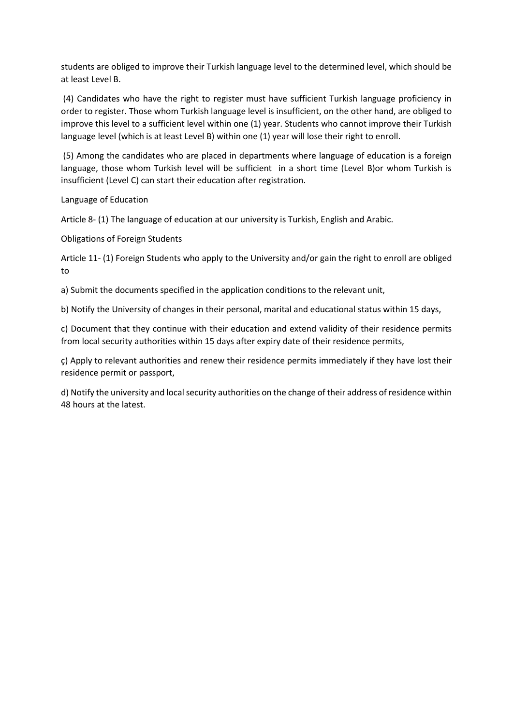students are obliged to improve their Turkish language level to the determined level, which should be at least Level B.

(4) Candidates who have the right to register must have sufficient Turkish language proficiency in order to register. Those whom Turkish language level is insufficient, on the other hand, are obliged to improve this level to a sufficient level within one (1) year. Students who cannot improve their Turkish language level (which is at least Level B) within one (1) year will lose their right to enroll.

(5) Among the candidates who are placed in departments where language of education is a foreign language, those whom Turkish level will be sufficient in a short time (Level B)or whom Turkish is insufficient (Level C) can start their education after registration.

Language of Education

Article 8- (1) The language of education at our university is Turkish, English and Arabic.

Obligations of Foreign Students

Article 11- (1) Foreign Students who apply to the University and/or gain the right to enroll are obliged to

a) Submit the documents specified in the application conditions to the relevant unit,

b) Notify the University of changes in their personal, marital and educational status within 15 days,

c) Document that they continue with their education and extend validity of their residence permits from local security authorities within 15 days after expiry date of their residence permits,

ç) Apply to relevant authorities and renew their residence permits immediately if they have lost their residence permit or passport,

d) Notify the university and local security authorities on the change of their address of residence within 48 hours at the latest.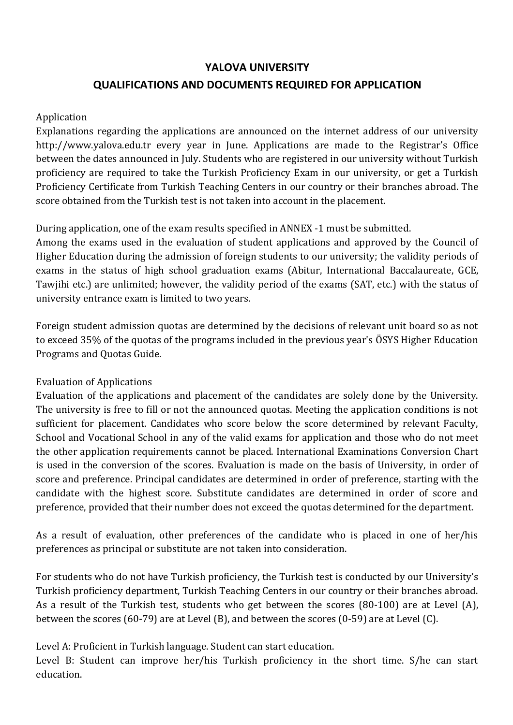# **YALOVA UNIVERSITY QUALIFICATIONS AND DOCUMENTS REQUIRED FOR APPLICATION**

### Application

Explanations regarding the applications are announced on the internet address of our university http://www.yalova.edu.tr every year in June. Applications are made to the Registrar's Office between the dates announced in July. Students who are registered in our university without Turkish proficiency are required to take the Turkish Proficiency Exam in our university, or get a Turkish Proficiency Certificate from Turkish Teaching Centers in our country or their branches abroad. The score obtained from the Turkish test is not taken into account in the placement.

# During application, one of the exam results specified in ANNEX -1 must be submitted.

Among the exams used in the evaluation of student applications and approved by the Council of Higher Education during the admission of foreign students to our university; the validity periods of exams in the status of high school graduation exams (Abitur, International Baccalaureate, GCE, Tawjihi etc.) are unlimited; however, the validity period of the exams (SAT, etc.) with the status of university entrance exam is limited to two years.

Foreign student admission quotas are determined by the decisions of relevant unit board so as not to exceed 35% of the quotas of the programs included in the previous year's ÖSYS Higher Education Programs and Quotas Guide.

# Evaluation of Applications

Evaluation of the applications and placement of the candidates are solely done by the University. The university is free to fill or not the announced quotas. Meeting the application conditions is not sufficient for placement. Candidates who score below the score determined by relevant Faculty, School and Vocational School in any of the valid exams for application and those who do not meet the other application requirements cannot be placed. International Examinations Conversion Chart is used in the conversion of the scores. Evaluation is made on the basis of University, in order of score and preference. Principal candidates are determined in order of preference, starting with the candidate with the highest score. Substitute candidates are determined in order of score and preference, provided that their number does not exceed the quotas determined for the department.

As a result of evaluation, other preferences of the candidate who is placed in one of her/his preferences as principal or substitute are not taken into consideration.

For students who do not have Turkish proficiency, the Turkish test is conducted by our University's Turkish proficiency department, Turkish Teaching Centers in our country or their branches abroad. As a result of the Turkish test, students who get between the scores (80-100) are at Level (A), between the scores (60-79) are at Level (B), and between the scores (0-59) are at Level (C).

Level A: Proficient in Turkish language. Student can start education.

Level B: Student can improve her/his Turkish proficiency in the short time. S/he can start education.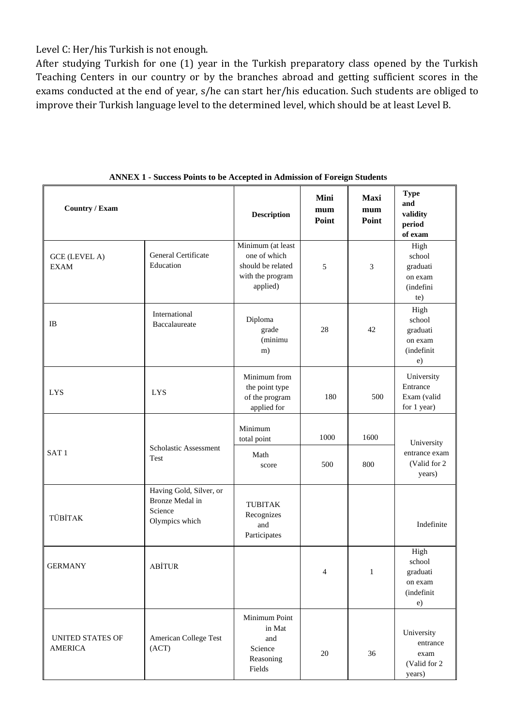Level C: Her/his Turkish is not enough.

After studying Turkish for one (1) year in the Turkish preparatory class opened by the Turkish Teaching Centers in our country or by the branches abroad and getting sufficient scores in the exams conducted at the end of year, s/he can start her/his education. Such students are obliged to improve their Turkish language level to the determined level, which should be at least Level B.

| <b>Country / Exam</b>                     |                                                                         | <b>Description</b>                                                                     | Mini<br>mum<br>Point | <b>Maxi</b><br>mum<br>Point | <b>Type</b><br>and<br>validity<br>period<br>of exam       |
|-------------------------------------------|-------------------------------------------------------------------------|----------------------------------------------------------------------------------------|----------------------|-----------------------------|-----------------------------------------------------------|
| <b>GCE (LEVEL A)</b><br><b>EXAM</b>       | General Certificate<br>Education                                        | Minimum (at least<br>one of which<br>should be related<br>with the program<br>applied) | 5                    | 3                           | High<br>school<br>graduati<br>on exam<br>(indefini<br>te) |
| IB                                        | International<br>Baccalaureate                                          | Diploma<br>grade<br>(minimu<br>m)                                                      | 28                   | 42                          | High<br>school<br>graduati<br>on exam<br>(indefinit<br>e) |
| <b>LYS</b>                                | <b>LYS</b>                                                              | Minimum from<br>the point type<br>of the program<br>applied for                        | 180                  | 500                         | University<br>Entrance<br>Exam (valid<br>for 1 year)      |
| SAT <sub>1</sub>                          | Scholastic Assessment                                                   | Minimum<br>total point<br>Math                                                         | 1000                 | 1600                        | University<br>entrance exam                               |
|                                           | Test                                                                    | score                                                                                  | 500                  | 800                         | (Valid for 2)<br>years)                                   |
| TÜBİTAK                                   | Having Gold, Silver, or<br>Bronze Medal in<br>Science<br>Olympics which | <b>TUBITAK</b><br>Recognizes<br>and<br>Participates                                    |                      |                             | Indefinite                                                |
| <b>GERMANY</b>                            | <b>ABİTUR</b>                                                           |                                                                                        | $\overline{4}$       | $\mathbf{1}$                | High<br>school<br>graduati<br>on exam<br>(indefinit<br>e) |
| <b>UNITED STATES OF</b><br><b>AMERICA</b> | American College Test<br>(ACT)                                          | Minimum Point<br>in Mat<br>and<br>Science<br>Reasoning<br>Fields                       | 20                   | 36                          | University<br>entrance<br>exam<br>(Valid for 2)<br>years) |

**ANNEX 1 - Success Points to be Accepted in Admission of Foreign Students**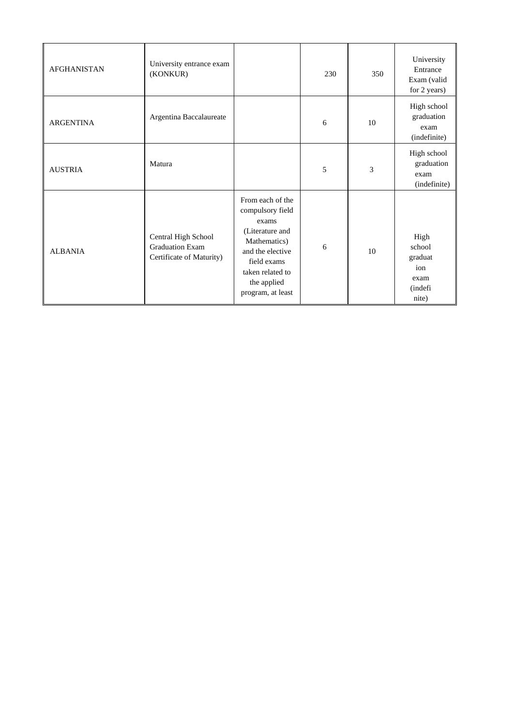| <b>AFGHANISTAN</b> | University entrance exam<br>(KONKUR)                                      |                                                                                                                                                                             | 230 | 350 | University<br>Entrance<br>Exam (valid<br>for 2 years)                 |
|--------------------|---------------------------------------------------------------------------|-----------------------------------------------------------------------------------------------------------------------------------------------------------------------------|-----|-----|-----------------------------------------------------------------------|
| <b>ARGENTINA</b>   | Argentina Baccalaureate                                                   |                                                                                                                                                                             | 6   | 10  | High school<br>graduation<br>exam<br>(indefinite)                     |
| <b>AUSTRIA</b>     | Matura                                                                    |                                                                                                                                                                             | 5   | 3   | High school<br>graduation<br>exam<br>(indefinite)                     |
| <b>ALBANIA</b>     | Central High School<br><b>Graduation Exam</b><br>Certificate of Maturity) | From each of the<br>compulsory field<br>exams<br>(Literature and<br>Mathematics)<br>and the elective<br>field exams<br>taken related to<br>the applied<br>program, at least | 6   | 10  | High<br>school<br>graduat<br>ion<br>exam<br><i>(indefi</i> )<br>nite) |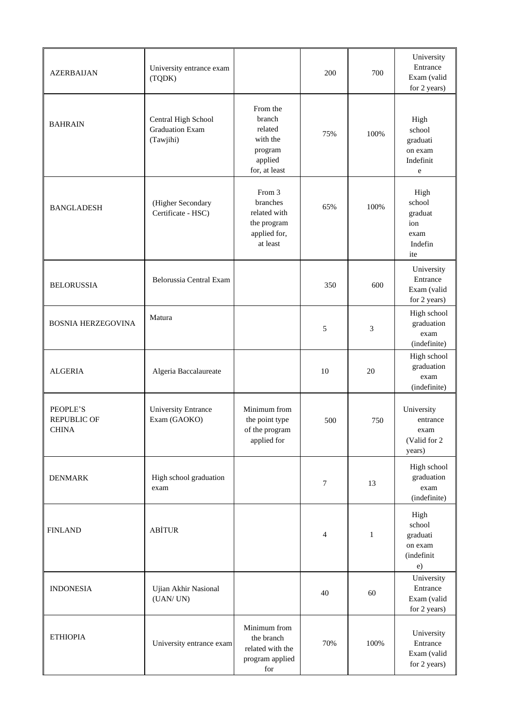| <b>AZERBAIJAN</b>                              | University entrance exam<br>(TQDK)                         |                                                                                  | 200    | 700          | University<br>Entrance<br>Exam (valid<br>for 2 years)      |
|------------------------------------------------|------------------------------------------------------------|----------------------------------------------------------------------------------|--------|--------------|------------------------------------------------------------|
| <b>BAHRAIN</b>                                 | Central High School<br><b>Graduation Exam</b><br>(Tawjihi) | From the<br>branch<br>related<br>with the<br>program<br>applied<br>for, at least | 75%    | 100%         | High<br>school<br>graduati<br>on exam<br>Indefinit<br>e    |
| <b>BANGLADESH</b>                              | (Higher Secondary<br>Certificate - HSC)                    | From 3<br>branches<br>related with<br>the program<br>applied for,<br>at least    | 65%    | 100%         | High<br>school<br>graduat<br>ion<br>exam<br>Indefin<br>ite |
| <b>BELORUSSIA</b>                              | Belorussia Central Exam                                    |                                                                                  | 350    | 600          | University<br>Entrance<br>Exam (valid<br>for 2 years)      |
| <b>BOSNIA HERZEGOVINA</b>                      | Matura                                                     |                                                                                  | 5      | 3            | High school<br>graduation<br>exam<br>(indefinite)          |
| <b>ALGERIA</b>                                 | Algeria Baccalaureate                                      |                                                                                  | 10     | 20           | High school<br>graduation<br>exam<br>(indefinite)          |
| PEOPLE'S<br><b>REPUBLIC OF</b><br><b>CHINA</b> | <b>University Entrance</b><br>Exam (GAOKO)                 | Minimum from<br>the point type<br>of the program<br>applied for                  | 500    | 750          | University<br>entrance<br>exam<br>(Valid for 2<br>years)   |
| <b>DENMARK</b>                                 | High school graduation<br>exam                             |                                                                                  | 7      | 13           | High school<br>graduation<br>exam<br>(indefinite)          |
| <b>FINLAND</b>                                 | <b>ABİTUR</b>                                              |                                                                                  | 4      | $\mathbf{1}$ | High<br>school<br>graduati<br>on exam<br>(indefinit<br>e)  |
| <b>INDONESIA</b>                               | Ujian Akhir Nasional<br>(UAN/UN)                           |                                                                                  | $40\,$ | 60           | University<br>Entrance<br>Exam (valid<br>for 2 years)      |
| <b>ETHIOPIA</b>                                | University entrance exam                                   | Minimum from<br>the branch<br>related with the<br>program applied<br>for         | 70%    | 100%         | University<br>Entrance<br>Exam (valid<br>for 2 years)      |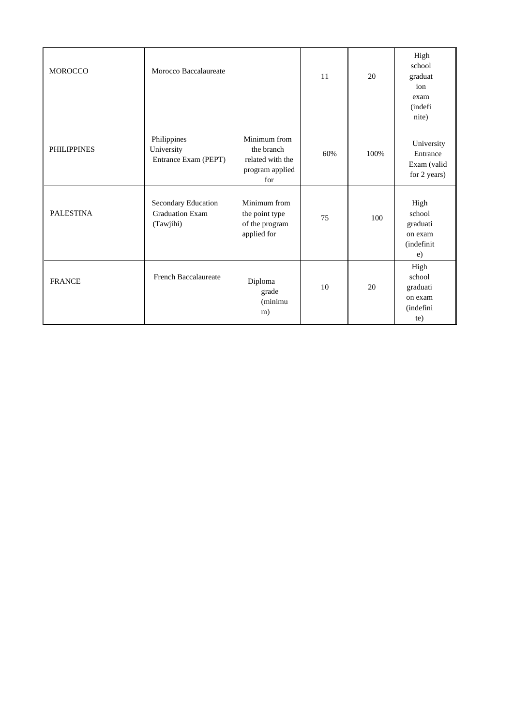| <b>MOROCCO</b>     | Morocco Baccalaureate                                      |                                                                          | 11  | 20   | High<br>school<br>graduat<br>ion<br>exam<br>(indefi<br>nite) |
|--------------------|------------------------------------------------------------|--------------------------------------------------------------------------|-----|------|--------------------------------------------------------------|
| <b>PHILIPPINES</b> | Philippines<br>University<br>Entrance Exam (PEPT)          | Minimum from<br>the branch<br>related with the<br>program applied<br>for | 60% | 100% | University<br>Entrance<br>Exam (valid<br>for 2 years)        |
| <b>PALESTINA</b>   | Secondary Education<br><b>Graduation Exam</b><br>(Tawjihi) | Minimum from<br>the point type<br>of the program<br>applied for          | 75  | 100  | High<br>school<br>graduati<br>on exam<br>(indefinit<br>e)    |
| <b>FRANCE</b>      | <b>French Baccalaureate</b>                                | Diploma<br>grade<br>(minimu<br>m)                                        | 10  | 20   | High<br>school<br>graduati<br>on exam<br>(indefini<br>te)    |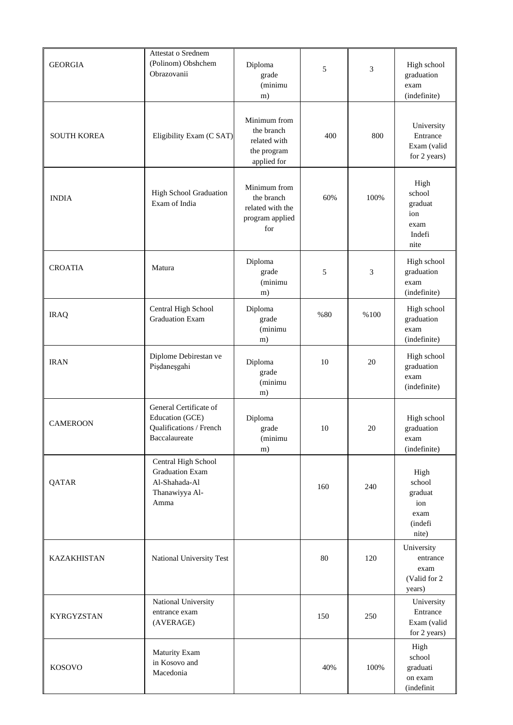| <b>GEORGIA</b>     | <b>Attestat o Srednem</b><br>(Polinom) Obshchem<br>Obrazovanii                           | Diploma<br>grade<br>(minimu<br>m)                                        | 5   | 3    | High school<br>graduation<br>exam<br>(indefinite)            |
|--------------------|------------------------------------------------------------------------------------------|--------------------------------------------------------------------------|-----|------|--------------------------------------------------------------|
| <b>SOUTH KOREA</b> | Eligibility Exam (C SAT)                                                                 | Minimum from<br>the branch<br>related with<br>the program<br>applied for | 400 | 800  | University<br>Entrance<br>Exam (valid<br>for 2 years)        |
| <b>INDIA</b>       | <b>High School Graduation</b><br>Exam of India                                           | Minimum from<br>the branch<br>related with the<br>program applied<br>for | 60% | 100% | High<br>school<br>graduat<br>ion<br>exam<br>Indefi<br>nite   |
| <b>CROATIA</b>     | Matura                                                                                   | Diploma<br>grade<br>(minimu<br>m)                                        | 5   | 3    | High school<br>graduation<br>exam<br>(indefinite)            |
| <b>IRAQ</b>        | Central High School<br><b>Graduation Exam</b>                                            | Diploma<br>grade<br>(minimu<br>m)                                        | %80 | %100 | High school<br>graduation<br>exam<br>(indefinite)            |
| <b>IRAN</b>        | Diplome Debirestan ve<br>Pişdaneşgahi                                                    | Diploma<br>grade<br>(minimu<br>m)                                        | 10  | 20   | High school<br>graduation<br>exam<br>(indefinite)            |
| <b>CAMEROON</b>    | General Certificate of<br>Education (GCE)<br>Qualifications / French<br>Baccalaureate    | Diploma<br>grade<br>(minimu<br>m)                                        | 10  | 20   | High school<br>graduation<br>exam<br>(indefinite)            |
| QATAR              | Central High School<br><b>Graduation Exam</b><br>Al-Shahada-Al<br>Thanawiyya Al-<br>Amma |                                                                          | 160 | 240  | High<br>school<br>graduat<br>ion<br>exam<br>(indefi<br>nite) |
| <b>KAZAKHISTAN</b> | National University Test                                                                 |                                                                          | 80  | 120  | University<br>entrance<br>exam<br>(Valid for 2)<br>years)    |
| KYRGYZSTAN         | National University<br>entrance exam<br>(AVERAGE)                                        |                                                                          | 150 | 250  | University<br>Entrance<br>Exam (valid<br>for 2 years)        |
| <b>KOSOVO</b>      | Maturity Exam<br>in Kosovo and<br>Macedonia                                              |                                                                          | 40% | 100% | High<br>school<br>graduati<br>on exam<br>(indefinit          |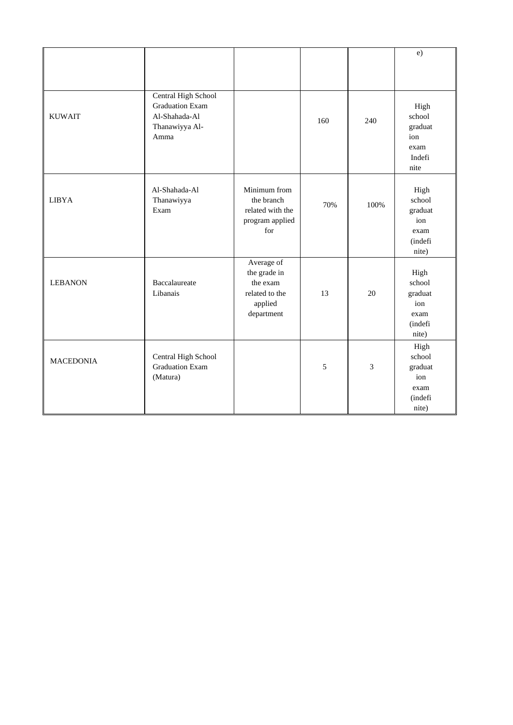|                  |                                                                                          |                                                                                   |     |                | e)                                                           |
|------------------|------------------------------------------------------------------------------------------|-----------------------------------------------------------------------------------|-----|----------------|--------------------------------------------------------------|
|                  |                                                                                          |                                                                                   |     |                |                                                              |
|                  |                                                                                          |                                                                                   |     |                |                                                              |
| <b>KUWAIT</b>    | Central High School<br><b>Graduation Exam</b><br>Al-Shahada-Al<br>Thanawiyya Al-<br>Amma |                                                                                   | 160 | 240            | High<br>school<br>graduat<br>ion<br>exam<br>Indefi<br>nite   |
| <b>LIBYA</b>     | Al-Shahada-Al<br>Thanawiyya<br>Exam                                                      | Minimum from<br>the branch<br>related with the<br>program applied<br>for          | 70% | 100%           | High<br>school<br>graduat<br>ion<br>exam<br>(indefi<br>nite) |
| <b>LEBANON</b>   | Baccalaureate<br>Libanais                                                                | Average of<br>the grade in<br>the exam<br>related to the<br>applied<br>department | 13  | 20             | High<br>school<br>graduat<br>ion<br>exam<br>(indefi<br>nite) |
| <b>MACEDONIA</b> | Central High School<br><b>Graduation Exam</b><br>(Matura)                                |                                                                                   | 5   | $\overline{3}$ | High<br>school<br>graduat<br>ion<br>exam<br>(indefi<br>nite) |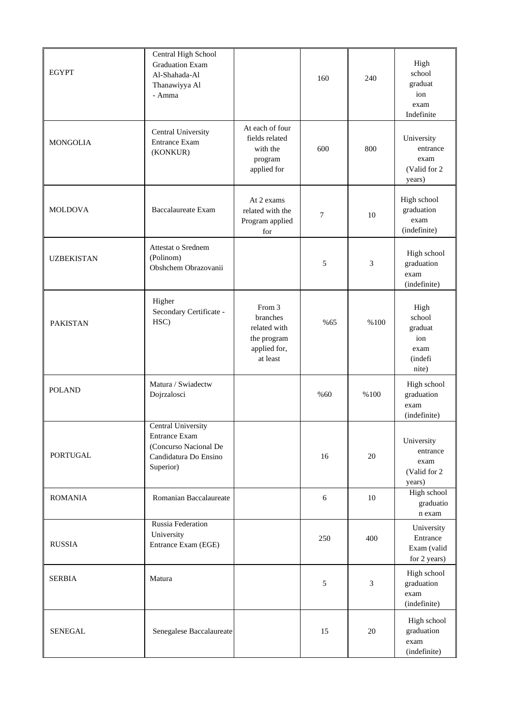| <b>EGYPT</b>      | Central High School<br><b>Graduation Exam</b><br>Al-Shahada-Al<br>Thanawiyya Al<br>- Amma                 |                                                                               | 160    | 240            | High<br>school<br>graduat<br>ion<br>exam<br>Indefinite       |
|-------------------|-----------------------------------------------------------------------------------------------------------|-------------------------------------------------------------------------------|--------|----------------|--------------------------------------------------------------|
| <b>MONGOLIA</b>   | Central University<br><b>Entrance Exam</b><br>(KONKUR)                                                    | At each of four<br>fields related<br>with the<br>program<br>applied for       | 600    | 800            | University<br>entrance<br>exam<br>(Valid for 2)<br>years)    |
| <b>MOLDOVA</b>    | <b>Baccalaureate Exam</b>                                                                                 | At 2 exams<br>related with the<br>Program applied<br>for                      | $\tau$ | 10             | High school<br>graduation<br>exam<br>(indefinite)            |
| <b>UZBEKISTAN</b> | Attestat o Srednem<br>(Polinom)<br>Obshchem Obrazovanii                                                   |                                                                               | 5      | 3              | High school<br>graduation<br>exam<br>(indefinite)            |
| <b>PAKISTAN</b>   | Higher<br>Secondary Certificate -<br>HSC)                                                                 | From 3<br>branches<br>related with<br>the program<br>applied for,<br>at least | %65    | %100           | High<br>school<br>graduat<br>ion<br>exam<br>(indefi<br>nite) |
| <b>POLAND</b>     | Matura / Swiadectw<br>Dojrzalosci                                                                         |                                                                               | %60    | %100           | High school<br>graduation<br>exam<br>(indefinite)            |
| <b>PORTUGAL</b>   | Central University<br><b>Entrance Exam</b><br>(Concurso Nacional De<br>Candidatura Do Ensino<br>Superior) |                                                                               | 16     | 20             | University<br>entrance<br>exam<br>(Valid for 2)<br>years)    |
| <b>ROMANIA</b>    | Romanian Baccalaureate                                                                                    |                                                                               | 6      | 10             | High school<br>graduatio<br>n exam                           |
| <b>RUSSIA</b>     | Russia Federation<br>University<br>Entrance Exam (EGE)                                                    |                                                                               | 250    | 400            | University<br>Entrance<br>Exam (valid<br>for 2 years)        |
| <b>SERBIA</b>     | Matura                                                                                                    |                                                                               | 5      | $\mathfrak{Z}$ | High school<br>graduation<br>exam<br>(indefinite)            |
| <b>SENEGAL</b>    | Senegalese Baccalaureate                                                                                  |                                                                               | 15     | 20             | High school<br>graduation<br>exam<br>(indefinite)            |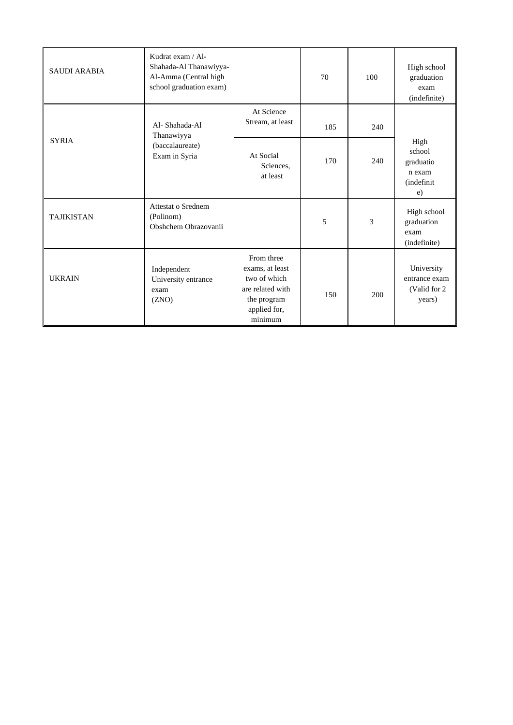| <b>SAUDI ARABIA</b> | Kudrat exam / Al-<br>Shahada-Al Thanawiyya-<br>Al-Amma (Central high<br>school graduation exam) |                                                                                                             | 70                       | 100 | High school<br>graduation<br>exam<br>(indefinite)                 |
|---------------------|-------------------------------------------------------------------------------------------------|-------------------------------------------------------------------------------------------------------------|--------------------------|-----|-------------------------------------------------------------------|
|                     | Al-Shahada-Al<br>Thanawiyya                                                                     | At Science<br>Stream, at least                                                                              | 185                      | 240 |                                                                   |
| <b>SYRIA</b>        | (baccalaureate)<br>Exam in Syria                                                                | At Social<br>Sciences,<br>at least                                                                          | 170                      | 240 | High<br>school<br>graduatio<br>n exam<br><i>(indefinit)</i><br>e) |
| <b>TAJIKISTAN</b>   | Attestat o Srednem<br>(Polinom)<br>Obshchem Obrazovanii                                         |                                                                                                             | $\overline{\phantom{0}}$ | 3   | High school<br>graduation<br>exam<br>(indefinite)                 |
| <b>UKRAIN</b>       | Independent<br>University entrance<br>exam<br>(ZNO)                                             | From three<br>exams, at least<br>two of which<br>are related with<br>the program<br>applied for,<br>minimum | 150                      | 200 | University<br>entrance exam<br>(Valid for 2)<br>years)            |